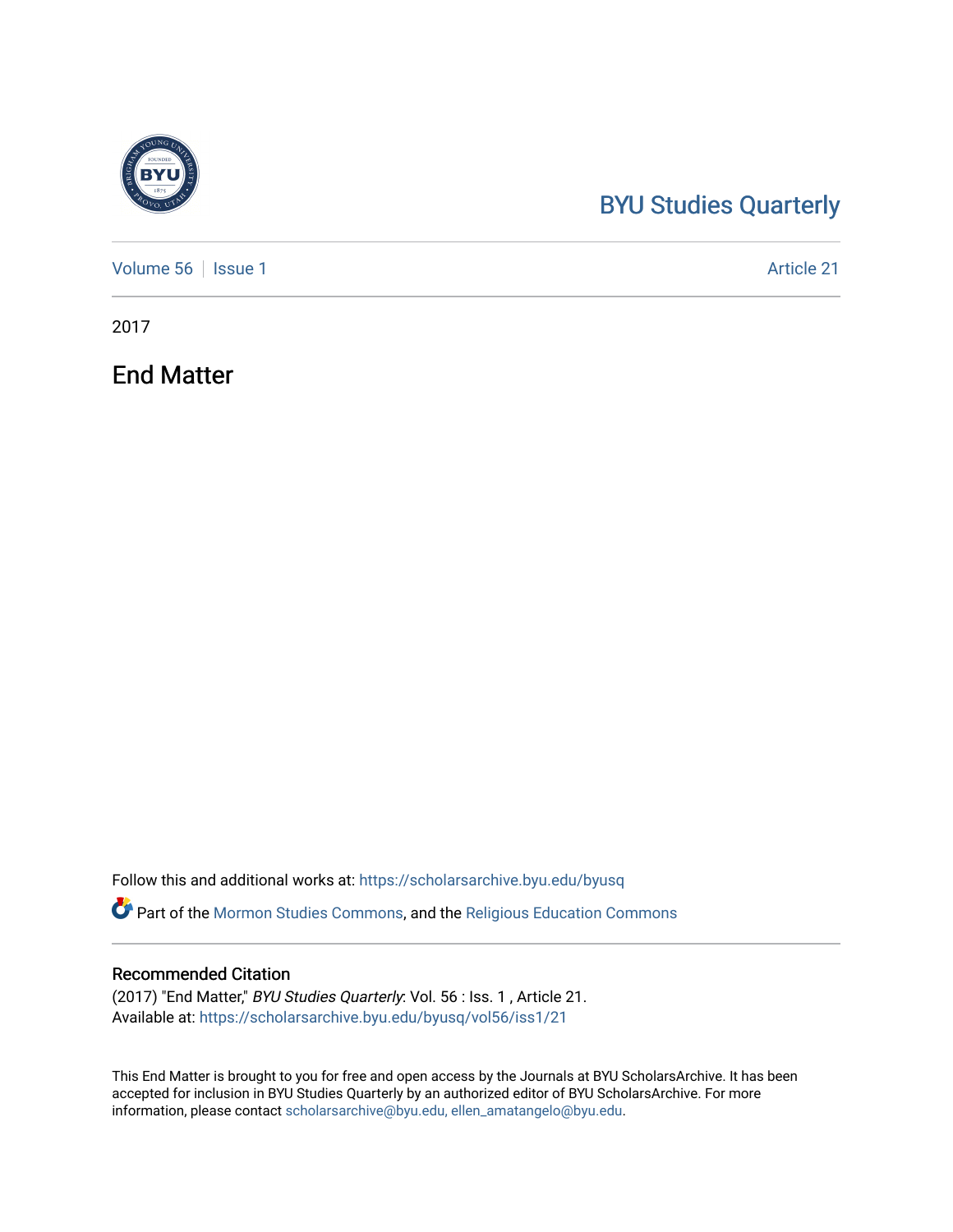## [BYU Studies Quarterly](https://scholarsarchive.byu.edu/byusq)

[Volume 56](https://scholarsarchive.byu.edu/byusq/vol56) | [Issue 1](https://scholarsarchive.byu.edu/byusq/vol56/iss1) Article 21

2017

End Matter

Follow this and additional works at: [https://scholarsarchive.byu.edu/byusq](https://scholarsarchive.byu.edu/byusq?utm_source=scholarsarchive.byu.edu%2Fbyusq%2Fvol56%2Fiss1%2F21&utm_medium=PDF&utm_campaign=PDFCoverPages) 

Part of the [Mormon Studies Commons](http://network.bepress.com/hgg/discipline/1360?utm_source=scholarsarchive.byu.edu%2Fbyusq%2Fvol56%2Fiss1%2F21&utm_medium=PDF&utm_campaign=PDFCoverPages), and the [Religious Education Commons](http://network.bepress.com/hgg/discipline/1414?utm_source=scholarsarchive.byu.edu%2Fbyusq%2Fvol56%2Fiss1%2F21&utm_medium=PDF&utm_campaign=PDFCoverPages) 

## Recommended Citation

(2017) "End Matter," BYU Studies Quarterly: Vol. 56 : Iss. 1 , Article 21. Available at: [https://scholarsarchive.byu.edu/byusq/vol56/iss1/21](https://scholarsarchive.byu.edu/byusq/vol56/iss1/21?utm_source=scholarsarchive.byu.edu%2Fbyusq%2Fvol56%2Fiss1%2F21&utm_medium=PDF&utm_campaign=PDFCoverPages) 

This End Matter is brought to you for free and open access by the Journals at BYU ScholarsArchive. It has been accepted for inclusion in BYU Studies Quarterly by an authorized editor of BYU ScholarsArchive. For more information, please contact [scholarsarchive@byu.edu, ellen\\_amatangelo@byu.edu.](mailto:scholarsarchive@byu.edu,%20ellen_amatangelo@byu.edu)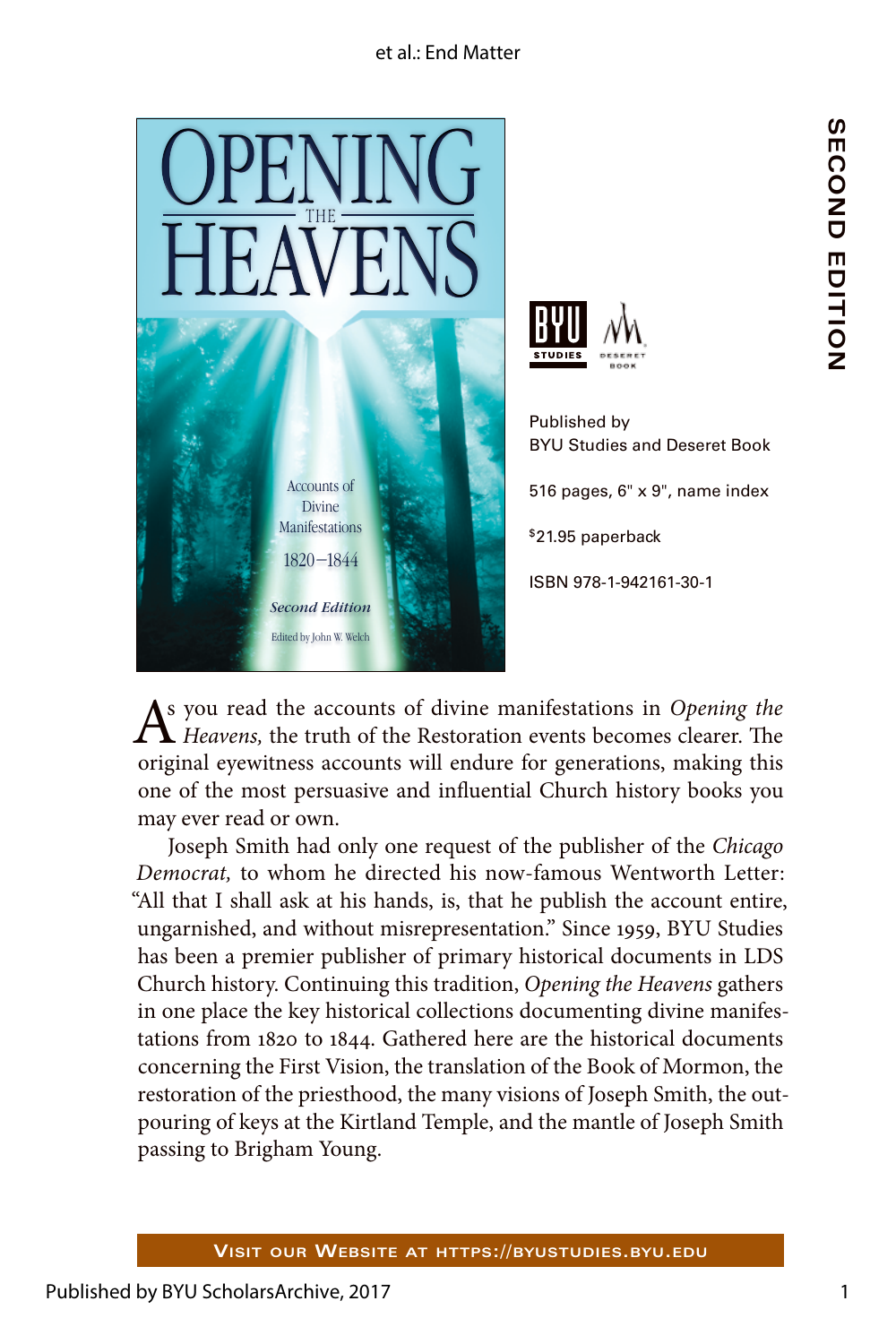## et al.: End Matter





Published by BYU Studies and Deseret Book 516 pages, 6" x 9", name index \$21.95 paperback ISBN 978-1-942161-30-1

As you read the accounts of divine manifestations in *Opening the Heavens*, the truth of the Restoration events becomes clearer. The original eyewitness accounts will endure for generations, making this one of the most persuasive and influential Church history books you may ever read or own.

Joseph Smith had only one request of the publisher of the *Chicago Democrat,* to whom he directed his now-famous Wentworth Letter: "All that I shall ask at his hands, is, that he publish the account entire, ungarnished, and without misrepresentation." Since 1959, BYU Studies has been a premier publisher of primary historical documents in LDS Church history. Continuing this tradition, *Opening the Heavens* gathers in one place the key historical collections documenting divine manifestations from 1820 to 1844. Gathered here are the historical documents concerning the First Vision, the translation of the Book of Mormon, the restoration of the priesthood, the many visions of Joseph Smith, the outpouring of keys at the Kirtland Temple, and the mantle of Joseph Smith passing to Brigham Young.

**SECOND EDITION**

SECOND FOITION